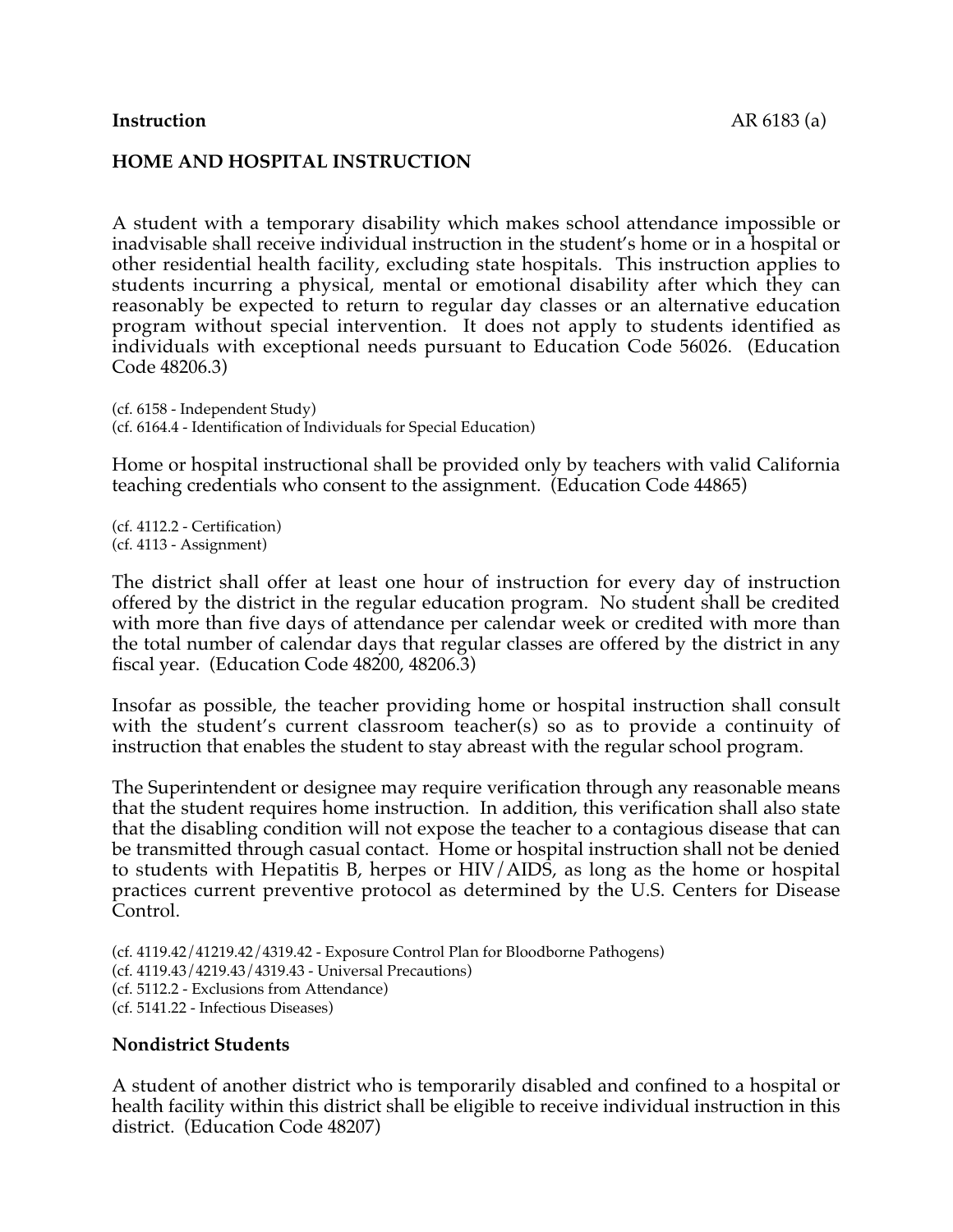### **Instruction** AR 6183 (a)

### **HOME AND HOSPITAL INSTRUCTION**

A student with a temporary disability which makes school attendance impossible or inadvisable shall receive individual instruction in the student's home or in a hospital or other residential health facility, excluding state hospitals. This instruction applies to students incurring a physical, mental or emotional disability after which they can reasonably be expected to return to regular day classes or an alternative education program without special intervention. It does not apply to students identified as individuals with exceptional needs pursuant to Education Code 56026. (Education Code 48206.3)

(cf. 6158 - Independent Study) (cf. 6164.4 - Identification of Individuals for Special Education)

Home or hospital instructional shall be provided only by teachers with valid California teaching credentials who consent to the assignment. (Education Code 44865)

(cf. 4112.2 - Certification) (cf. 4113 - Assignment)

The district shall offer at least one hour of instruction for every day of instruction offered by the district in the regular education program. No student shall be credited with more than five days of attendance per calendar week or credited with more than the total number of calendar days that regular classes are offered by the district in any fiscal year. (Education Code 48200, 48206.3)

Insofar as possible, the teacher providing home or hospital instruction shall consult with the student's current classroom teacher(s) so as to provide a continuity of instruction that enables the student to stay abreast with the regular school program.

The Superintendent or designee may require verification through any reasonable means that the student requires home instruction. In addition, this verification shall also state that the disabling condition will not expose the teacher to a contagious disease that can be transmitted through casual contact. Home or hospital instruction shall not be denied to students with Hepatitis B, herpes or HIV/AIDS, as long as the home or hospital practices current preventive protocol as determined by the U.S. Centers for Disease Control.

(cf. 4119.42/41219.42/4319.42 - Exposure Control Plan for Bloodborne Pathogens) (cf. 4119.43/4219.43/4319.43 - Universal Precautions) (cf. 5112.2 - Exclusions from Attendance) (cf. 5141.22 - Infectious Diseases)

#### **Nondistrict Students**

A student of another district who is temporarily disabled and confined to a hospital or health facility within this district shall be eligible to receive individual instruction in this district. (Education Code 48207)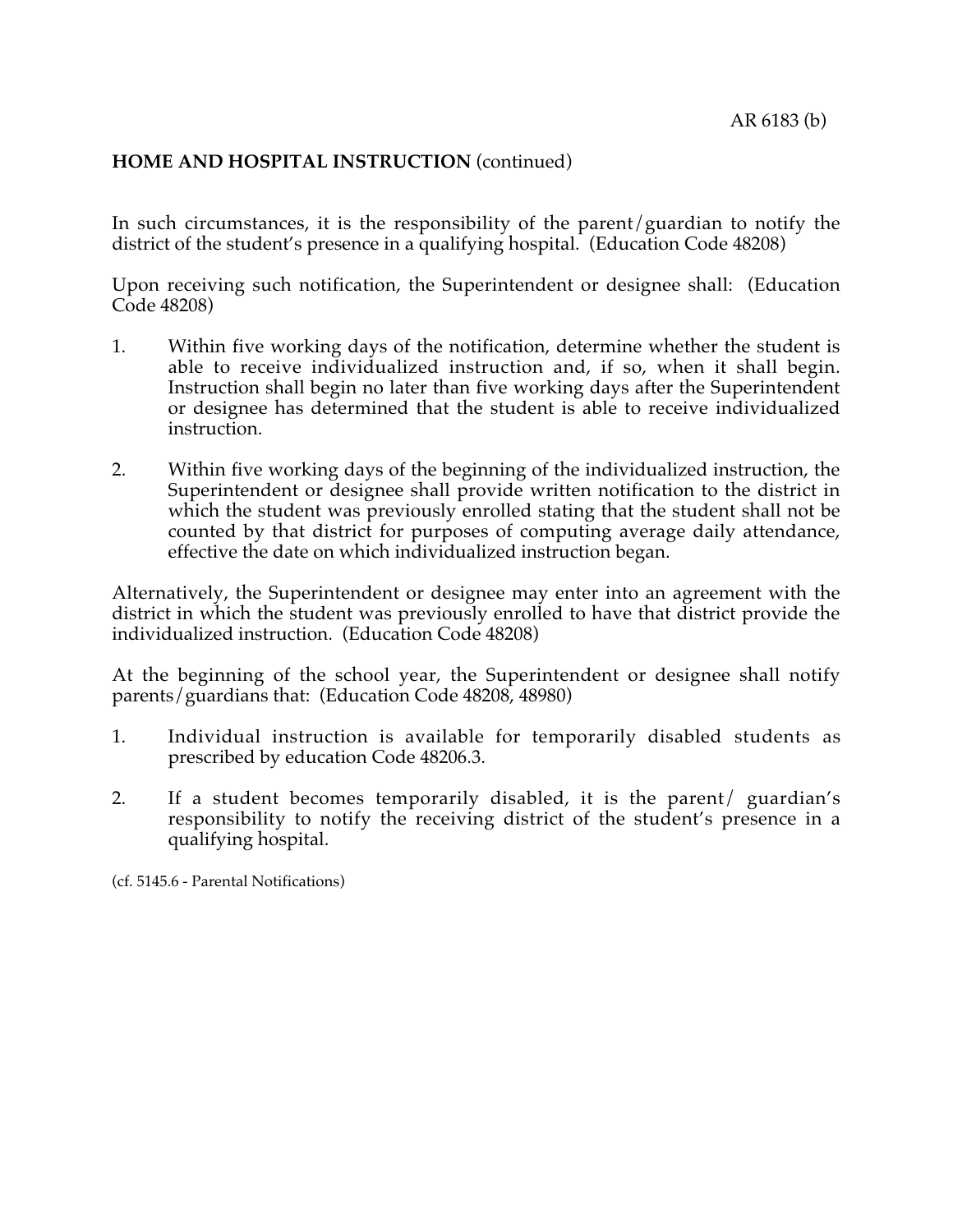# **HOME AND HOSPITAL INSTRUCTION** (continued)

In such circumstances, it is the responsibility of the parent/guardian to notify the district of the student's presence in a qualifying hospital. (Education Code 48208)

Upon receiving such notification, the Superintendent or designee shall: (Education Code 48208)

- 1. Within five working days of the notification, determine whether the student is able to receive individualized instruction and, if so, when it shall begin. Instruction shall begin no later than five working days after the Superintendent or designee has determined that the student is able to receive individualized instruction.
- 2. Within five working days of the beginning of the individualized instruction, the Superintendent or designee shall provide written notification to the district in which the student was previously enrolled stating that the student shall not be counted by that district for purposes of computing average daily attendance, effective the date on which individualized instruction began.

Alternatively, the Superintendent or designee may enter into an agreement with the district in which the student was previously enrolled to have that district provide the individualized instruction. (Education Code 48208)

At the beginning of the school year, the Superintendent or designee shall notify parents/guardians that: (Education Code 48208, 48980)

- 1. Individual instruction is available for temporarily disabled students as prescribed by education Code 48206.3.
- 2. If a student becomes temporarily disabled, it is the parent/ guardian's responsibility to notify the receiving district of the student's presence in a qualifying hospital.

(cf. 5145.6 - Parental Notifications)